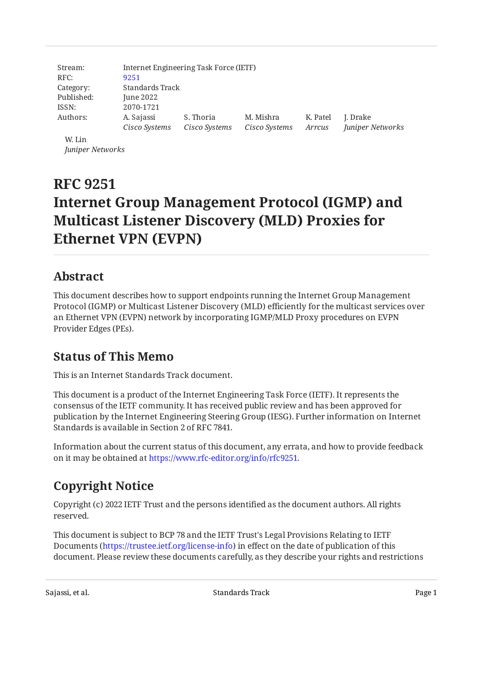| Stream:<br>RFC: | Internet Engineering Task Force (IETF)<br>9251 |               |               |          |                  |
|-----------------|------------------------------------------------|---------------|---------------|----------|------------------|
| Category:       | Standards Track                                |               |               |          |                  |
| Published:      | June 2022                                      |               |               |          |                  |
| ISSN:           | 2070-1721                                      |               |               |          |                  |
| Authors:        | A. Sajassi                                     | S. Thoria     | M. Mishra     | K. Patel | J. Drake         |
|                 | Cisco Systems                                  | Cisco Systems | Cisco Systems | Arrcus   | Juniper Networks |
| W. Lin          |                                                |               |               |          |                  |

*Juniper Networks*

# **RFC 9251 Internet Group Management Protocol (IGMP) and Multicast Listener Discovery (MLD) Proxies for Ethernet VPN (EVPN)**

# <span id="page-0-0"></span>**[Abstract](#page-0-0)**

This document describes how to support endpoints running the Internet Group Management Protocol (IGMP) or Multicast Listener Discovery (MLD) efficiently for the multicast services over an Ethernet VPN (EVPN) network by incorporating IGMP/MLD Proxy procedures on EVPN Provider Edges (PEs).

# <span id="page-0-1"></span>**[Status of This Memo](#page-0-1)**

This is an Internet Standards Track document.

This document is a product of the Internet Engineering Task Force (IETF). It represents the consensus of the IETF community. It has received public review and has been approved for publication by the Internet Engineering Steering Group (IESG). Further information on Internet Standards is available in Section 2 of RFC 7841.

Information about the current status of this document, any errata, and how to provide feedback on it may be obtained at [https://www.rfc-editor.org/info/rfc9251.](https://www.rfc-editor.org/info/rfc9251)

# <span id="page-0-2"></span>**[Copyright Notice](#page-0-2)**

Copyright (c) 2022 IETF Trust and the persons identified as the document authors. All rights reserved.

This document is subject to BCP 78 and the IETF Trust's Legal Provisions Relating to IETF Documents (<https://trustee.ietf.org/license-info>) in effect on the date of publication of this document. Please review these documents carefully, as they describe your rights and restrictions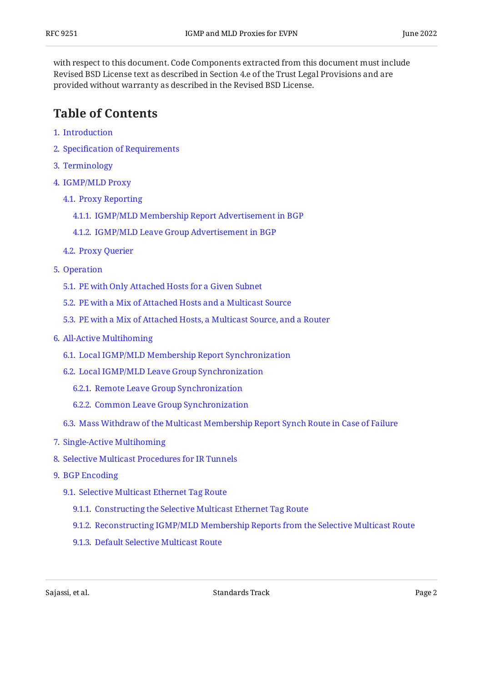with respect to this document. Code Components extracted from this document must include Revised BSD License text as described in Section 4.e of the Trust Legal Provisions and are provided without warranty as described in the Revised BSD License.

# <span id="page-1-0"></span>**[Table of Contents](#page-1-0)**

- [1](#page-2-0). [Introduction](#page-2-0)
- [2](#page-3-0). Specifi[cation of Requirements](#page-3-0)
- [3](#page-3-1). [Terminology](#page-3-1)
- [4](#page-5-0). [IGMP/MLD Proxy](#page-5-0)
	- [4.1.](#page-5-1) [Proxy Reporting](#page-5-1)
		- [4.1.1](#page-5-2). [IGMP/MLD Membership Report Advertisement in BGP](#page-5-2)
		- [4.1.2](#page-7-0). [IGMP/MLD Leave Group Advertisement in BGP](#page-7-0)
	- [4.2.](#page-8-0) [Proxy Querier](#page-8-0)
- [5](#page-8-1). [Operation](#page-8-1)
	- [5.1.](#page-9-0) [PE with Only Attached Hosts for a Given Subnet](#page-9-0)
	- [5.2.](#page-9-1) [PE with a Mix of Attached Hosts and a Multicast Source](#page-9-1)
	- [5.3.](#page-9-2) [PE with a Mix of Attached Hosts, a Multicast Source, and a Router](#page-9-2)
- [6](#page-9-3). [All-Active Multihoming](#page-9-3)
	- [6.1.](#page-10-0) [Local IGMP/MLD Membership Report Synchronization](#page-10-0)
	- [6.2.](#page-11-0) [Local IGMP/MLD Leave Group Synchronization](#page-11-0)
		- [6.2.1](#page-11-1). [Remote Leave Group Synchronization](#page-11-1)
		- [6.2.2](#page-11-2). [Common Leave Group Synchronization](#page-11-2)
	- [6.3.](#page-12-0) [Mass Withdraw of the Multicast Membership Report Synch Route in Case of Failure](#page-12-0)
- [7](#page-12-1). [Single-Active Multihoming](#page-12-1)
- [8](#page-12-2). [Selective Multicast Procedures for IR Tunnels](#page-12-2)
- [9](#page-13-0). [BGP Encoding](#page-13-0)
	- [9.1.](#page-13-1) [Selective Multicast Ethernet Tag Route](#page-13-1)
		- [9.1.1](#page-14-0). [Constructing the Selective Multicast Ethernet Tag Route](#page-14-0)
		- [9.1.2](#page-15-0). [Reconstructing IGMP/MLD Membership Reports from the Selective Multicast Route](#page-15-0)
		- [9.1.3](#page-15-1). [Default Selective Multicast Route](#page-15-1)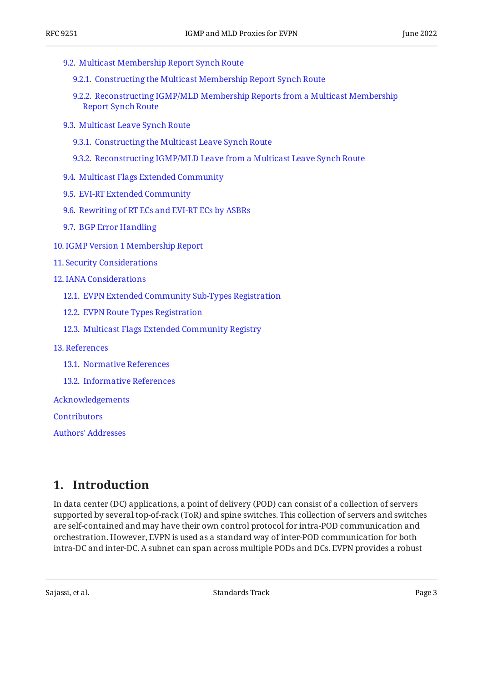- [9.2.](#page-16-0) [Multicast Membership Report Synch Route](#page-16-0)
	- [9.2.1](#page-18-0). [Constructing the Multicast Membership Report Synch Route](#page-18-0)
	- [9.2.2](#page-19-0). [Reconstructing IGMP/MLD Membership Reports from a Multicast Membership](#page-19-0) [Report Synch Route](#page-19-0)
- [9.3.](#page-19-1) [Multicast Leave Synch Route](#page-19-1)
	- [9.3.1](#page-21-0). [Constructing the Multicast Leave Synch Route](#page-21-0)
	- [9.3.2](#page-22-0). [Reconstructing IGMP/MLD Leave from a Multicast Leave Synch Route](#page-22-0)
- [9.4.](#page-22-1) [Multicast Flags Extended Community](#page-22-1)
- [9.5.](#page-23-0) [EVI-RT Extended Community](#page-23-0)
- [9.6.](#page-25-0) [Rewriting of RT ECs and EVI-RT ECs by ASBRs](#page-25-0)
- [9.7.](#page-25-1) [BGP Error Handling](#page-25-1)
- [10](#page-25-2). [IGMP Version 1 Membership Report](#page-25-2)
- [11](#page-25-3). [Security Considerations](#page-25-3)
- [12](#page-26-0). [IANA Considerations](#page-26-0)
	- [12.1.](#page-26-1) [EVPN Extended Community Sub-Types Registration](#page-26-1)
	- [12.2.](#page-26-2) [EVPN Route Types Registration](#page-26-2)
	- [12.3.](#page-26-3) [Multicast Flags Extended Community Registry](#page-26-3)
- [13](#page-27-0). [References](#page-27-0)
	- [13.1.](#page-27-1) [Normative References](#page-27-1)
	- [13.2.](#page-28-0) [Informative References](#page-28-0)

[Acknowledgements](#page-28-1)

**[Contributors](#page-28-2)** 

[Authors' Addresses](#page-28-3)

## <span id="page-2-0"></span>**[1. Introduction](#page-2-0)**

In data center (DC) applications, a point of delivery (POD) can consist of a collection of servers supported by several top-of-rack (ToR) and spine switches. This collection of servers and switches are self-contained and may have their own control protocol for intra-POD communication and orchestration. However, EVPN is used as a standard way of inter-POD communication for both intra-DC and inter-DC. A subnet can span across multiple PODs and DCs. EVPN provides a robust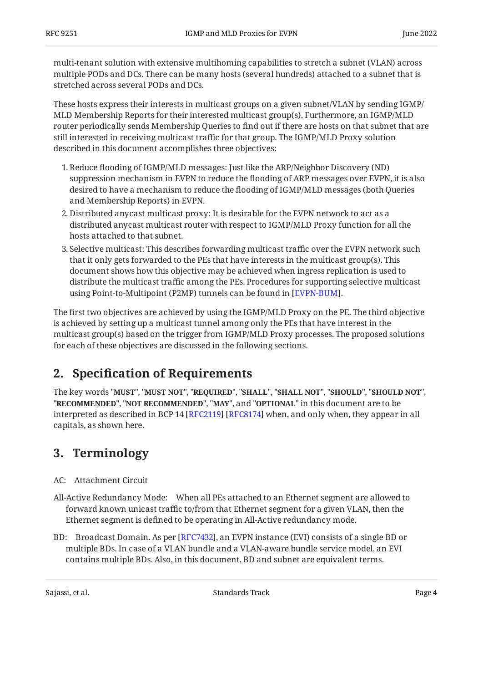multi-tenant solution with extensive multihoming capabilities to stretch a subnet (VLAN) across multiple PODs and DCs. There can be many hosts (several hundreds) attached to a subnet that is stretched across several PODs and DCs.

These hosts express their interests in multicast groups on a given subnet/VLAN by sending IGMP/ MLD Membership Reports for their interested multicast group(s). Furthermore, an IGMP/MLD router periodically sends Membership Queries to find out if there are hosts on that subnet that are still interested in receiving multicast traffic for that group. The IGMP/MLD Proxy solution described in this document accomplishes three objectives:

- 1. Reduce flooding of IGMP/MLD messages: Just like the ARP/Neighbor Discovery (ND) suppression mechanism in EVPN to reduce the flooding of ARP messages over EVPN, it is also desired to have a mechanism to reduce the flooding of IGMP/MLD messages (both Queries and Membership Reports) in EVPN.
- Distributed anycast multicast proxy: It is desirable for the EVPN network to act as a 2. distributed anycast multicast router with respect to IGMP/MLD Proxy function for all the hosts attached to that subnet.
- 3. Selective multicast: This describes forwarding multicast traffic over the EVPN network such that it only gets forwarded to the PEs that have interests in the multicast group(s). This document shows how this objective may be achieved when ingress replication is used to distribute the multicast traffic among the PEs. Procedures for supporting selective multicast using Point-to-Multipoint (P2MP) tunnels can be found in [\[EVPN-BUM](#page-28-4)].

The first two objectives are achieved by using the IGMP/MLD Proxy on the PE. The third objective is achieved by setting up a multicast tunnel among only the PEs that have interest in the multicast group(s) based on the trigger from IGMP/MLD Proxy processes. The proposed solutions for each of these objectives are discussed in the following sections.

# <span id="page-3-0"></span>**[2. S](#page-3-0)pecifi[cation of Requirements](#page-3-0)**

The key words "MUST", "MUST NOT", "REQUIRED", "SHALL", "SHALL NOT", "SHOULD", "SHOULD NOT", "**RECOMMENDED", "NOT RECOMMENDED", "MAY",** and "OPTIONAL" in this document are to be interpreted as described in BCP 14 [RFC2119] [RFC8174] when, and only when, they appear in all capitals, as shown here.

# <span id="page-3-1"></span>**[3. Terminology](#page-3-1)**

- AC: Attachment Circuit
- All-Active Redundancy Mode: When all PEs attached to an Ethernet segment are allowed to forward known unicast traffic to/from that Ethernet segment for a given VLAN, then the Ethernet segment is defined to be operating in All-Active redundancy mode.
- BD: Broadcast Domain. As per [RFC7432], an EVPN instance (EVI) consists of a single BD or multiple BDs. In case of a VLAN bundle and a VLAN-aware bundle service model, an EVI contains multiple BDs. Also, in this document, BD and subnet are equivalent terms.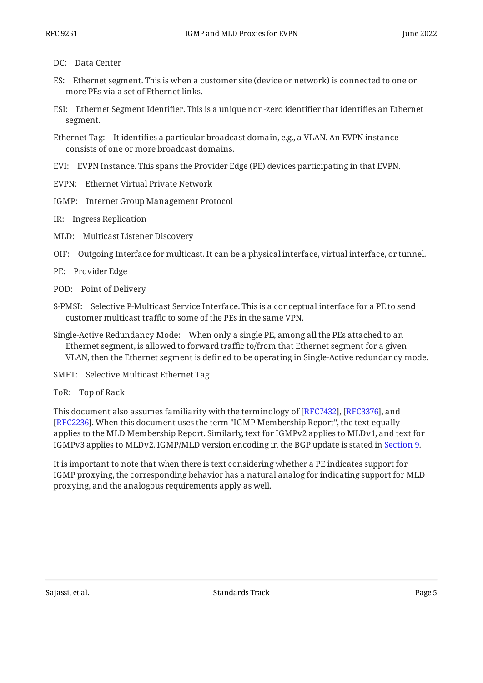#### DC: Data Center

- ES: Ethernet segment. This is when a customer site (device or network) is connected to one or more PEs via a set of Ethernet links.
- ESI: Ethernet Segment Identifier. This is a unique non-zero identifier that identifies an Ethernet segment.
- Ethernet Tag: It identifies a particular broadcast domain, e.g., a VLAN. An EVPN instance consists of one or more broadcast domains.
- EVI: EVPN Instance. This spans the Provider Edge (PE) devices participating in that EVPN.
- EVPN: Ethernet Virtual Private Network
- IGMP: Internet Group Management Protocol
- IR: Ingress Replication
- MLD: Multicast Listener Discovery
- OIF: Outgoing Interface for multicast. It can be a physical interface, virtual interface, or tunnel.
- PE: Provider Edge
- POD: Point of Delivery
- S-PMSI: Selective P-Multicast Service Interface. This is a conceptual interface for a PE to send customer multicast traffic to some of the PEs in the same VPN.
- Single-Active Redundancy Mode: When only a single PE, among all the PEs attached to an Ethernet segment, is allowed to forward traffic to/from that Ethernet segment for a given VLAN, then the Ethernet segment is defined to be operating in Single-Active redundancy mode.
- SMET: Selective Multicast Ethernet Tag
- ToR: Top of Rack

This document also assumes familiarity with the terminology of [RFC7432], [RFC3376], and [[RFC2236\]](#page-27-5). When this document uses the term "IGMP Membership Report", the text equally applies to the MLD Membership Report. Similarly, text for IGMPv2 applies to MLDv1, and text for IGMPv3 applies to MLDv2. IGMP/MLD version encoding in the BGP update is stated in [Section 9.](#page-13-0)

It is important to note that when there is text considering whether a PE indicates support for IGMP proxying, the corresponding behavior has a natural analog for indicating support for MLD proxying, and the analogous requirements apply as well.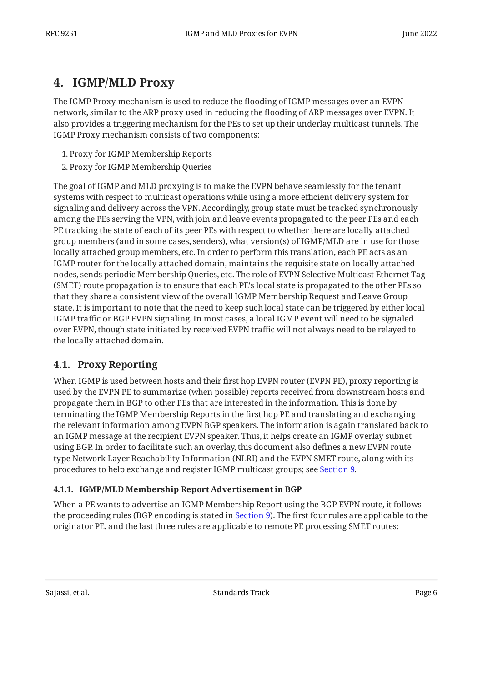# <span id="page-5-0"></span>**[4. IGMP/MLD Proxy](#page-5-0)**

The IGMP Proxy mechanism is used to reduce the flooding of IGMP messages over an EVPN network, similar to the ARP proxy used in reducing the flooding of ARP messages over EVPN. It also provides a triggering mechanism for the PEs to set up their underlay multicast tunnels. The IGMP Proxy mechanism consists of two components:

- 1. Proxy for IGMP Membership Reports
- 2. Proxy for IGMP Membership Queries

The goal of IGMP and MLD proxying is to make the EVPN behave seamlessly for the tenant systems with respect to multicast operations while using a more efficient delivery system for signaling and delivery across the VPN. Accordingly, group state must be tracked synchronously among the PEs serving the VPN, with join and leave events propagated to the peer PEs and each PE tracking the state of each of its peer PEs with respect to whether there are locally attached group members (and in some cases, senders), what version(s) of IGMP/MLD are in use for those locally attached group members, etc. In order to perform this translation, each PE acts as an IGMP router for the locally attached domain, maintains the requisite state on locally attached nodes, sends periodic Membership Queries, etc. The role of EVPN Selective Multicast Ethernet Tag (SMET) route propagation is to ensure that each PE's local state is propagated to the other PEs so that they share a consistent view of the overall IGMP Membership Request and Leave Group state. It is important to note that the need to keep such local state can be triggered by either local IGMP traffic or BGP EVPN signaling. In most cases, a local IGMP event will need to be signaled over EVPN, though state initiated by received EVPN traffic will not always need to be relayed to the locally attached domain.

#### <span id="page-5-1"></span>**[4.1. Proxy Reporting](#page-5-1)**

When IGMP is used between hosts and their first hop EVPN router (EVPN PE), proxy reporting is used by the EVPN PE to summarize (when possible) reports received from downstream hosts and propagate them in BGP to other PEs that are interested in the information. This is done by terminating the IGMP Membership Reports in the first hop PE and translating and exchanging the relevant information among EVPN BGP speakers. The information is again translated back to an IGMP message at the recipient EVPN speaker. Thus, it helps create an IGMP overlay subnet using BGP. In order to facilitate such an overlay, this document also defines a new EVPN route type Network Layer Reachability Information (NLRI) and the EVPN SMET route, along with its procedures to help exchange and register IGMP multicast groups; see [Section 9](#page-13-0).

#### <span id="page-5-2"></span>**[4.1.1. IGMP/MLD Membership Report Advertisement in BGP](#page-5-2)**

When a PE wants to advertise an IGMP Membership Report using the BGP EVPN route, it follows the proceeding rules (BGP encoding is stated in [Section 9\)](#page-13-0). The first four rules are applicable to the originator PE, and the last three rules are applicable to remote PE processing SMET routes: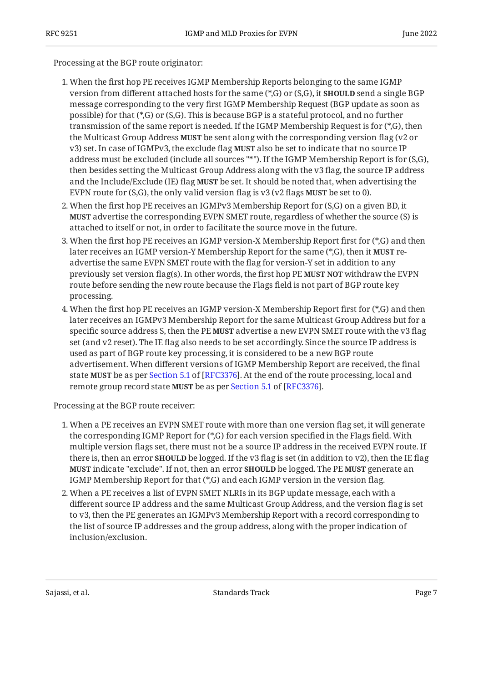Processing at the BGP route originator:

- 1. When the first hop PE receives IGMP Membership Reports belonging to the same IGMP version from different attached hosts for the same (\*,G) or (S,G), it **SHOULD** send a single BGP message corresponding to the very first IGMP Membership Request (BGP update as soon as possible) for that (\*,G) or (S,G). This is because BGP is a stateful protocol, and no further transmission of the same report is needed. If the IGMP Membership Request is for (\*,G), then the Multicast Group Address **MUST** be sent along with the corresponding version flag (v2 or v3) set. In case of IGMPv3, the exclude flag **MUST** also be set to indicate that no source IP address must be excluded (include all sources "\*"). If the IGMP Membership Report is for (S,G), then besides setting the Multicast Group Address along with the v3 flag, the source IP address and the Include/Exclude (IE) flag **MUST** be set. It should be noted that, when advertising the EVPN route for  $(S, G)$ , the only valid version flag is  $v3$  ( $v2$  flags **MUST** be set to 0).
- 2. When the first hop PE receives an IGMPv3 Membership Report for (S,G) on a given BD, it **MUST** advertise the corresponding EVPN SMET route, regardless of whether the source (S) is attached to itself or not, in order to facilitate the source move in the future.
- 3. When the first hop PE receives an IGMP version-X Membership Report first for (\*,G) and then later receives an IGMP version-Y Membership Report for the same (\*,G), then it **MUST** readvertise the same EVPN SMET route with the flag for version-Y set in addition to any previously set version flag(s). In other words, the first hop PE **MUST NOT** withdraw the EVPN route before sending the new route because the Flags field is not part of BGP route key processing.
- 4. When the first hop PE receives an IGMP version-X Membership Report first for (\*,G) and then later receives an IGMPv3 Membership Report for the same Multicast Group Address but for a specific source address S, then the PE **MUST** advertise a new EVPN SMET route with the v3 flag set (and v2 reset). The IE flag also needs to be set accordingly. Since the source IP address is used as part of BGP route key processing, it is considered to be a new BGP route advertisement. When different versions of IGMP Membership Report are received, the final state**MUST** be as per Section 5.1 of [RFC3376]. At the end of the route processing, local and remotegroup record state MUST be as per Section 5.1 of [RFC3376].

Processing at the BGP route receiver:

- 1. When a PE receives an EVPN SMET route with more than one version flag set, it will generate the corresponding IGMP Report for (\*,G) for each version specified in the Flags field. With multiple version flags set, there must not be a source IP address in the received EVPN route. If there is, then an error **SHOULD** be logged. If the v3 flag is set (in addition to v2), then the IE flag **MUST** indicate "exclude". If not, then an error **SHOULD** be logged. The PE **MUST** generate an IGMP Membership Report for that (\*,G) and each IGMP version in the version flag.
- 2. When a PE receives a list of EVPN SMET NLRIs in its BGP update message, each with a different source IP address and the same Multicast Group Address, and the version flag is set to v3, then the PE generates an IGMPv3 Membership Report with a record corresponding to the list of source IP addresses and the group address, along with the proper indication of inclusion/exclusion.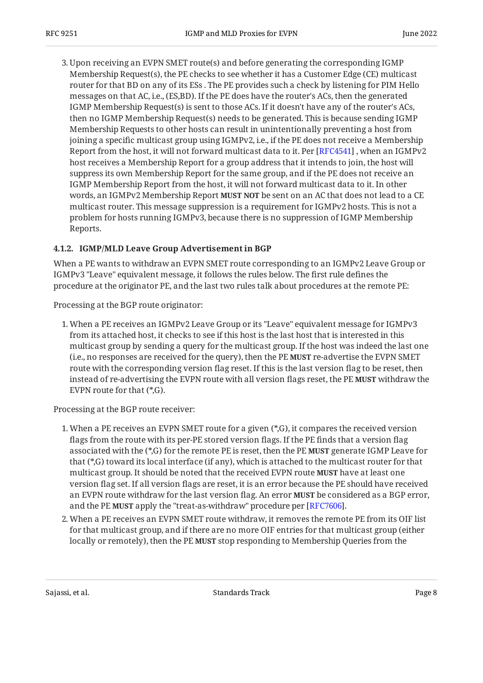3. Upon receiving an EVPN SMET route(s) and before generating the corresponding IGMP Membership Request(s), the PE checks to see whether it has a Customer Edge (CE) multicast router for that BD on any of its ESs . The PE provides such a check by listening for PIM Hello messages on that AC, i.e., (ES,BD). If the PE does have the router's ACs, then the generated IGMP Membership Request(s) is sent to those ACs. If it doesn't have any of the router's ACs, then no IGMP Membership Request(s) needs to be generated. This is because sending IGMP Membership Requests to other hosts can result in unintentionally preventing a host from joining a specific multicast group using IGMPv2, i.e., if the PE does not receive a Membership Report from the host, it will not forward multicast data to it. Per [\[RFC4541](#page-28-6)] , when an IGMPv2 host receives a Membership Report for a group address that it intends to join, the host will suppress its own Membership Report for the same group, and if the PE does not receive an IGMP Membership Report from the host, it will not forward multicast data to it. In other words, an IGMPv2 Membership Report **MUST NOT** be sent on an AC that does not lead to a CE multicast router. This message suppression is a requirement for IGMPv2 hosts. This is not a problem for hosts running IGMPv3, because there is no suppression of IGMP Membership Reports.

#### <span id="page-7-0"></span>**[4.1.2. IGMP/MLD Leave Group Advertisement in BGP](#page-7-0)**

When a PE wants to withdraw an EVPN SMET route corresponding to an IGMPv2 Leave Group or IGMPv3 "Leave" equivalent message, it follows the rules below. The first rule defines the procedure at the originator PE, and the last two rules talk about procedures at the remote PE:

Processing at the BGP route originator:

1. When a PE receives an IGMPv2 Leave Group or its "Leave" equivalent message for IGMPv3 from its attached host, it checks to see if this host is the last host that is interested in this multicast group by sending a query for the multicast group. If the host was indeed the last one (i.e., no responses are received for the query), then the PE **MUST** re-advertise the EVPN SMET route with the corresponding version flag reset. If this is the last version flag to be reset, then instead of re-advertising the EVPN route with all version flags reset, the PE **MUST** withdraw the EVPN route for that (\*,G).

Processing at the BGP route receiver:

- 1. When a PE receives an EVPN SMET route for a given (\*,G), it compares the received version flags from the route with its per-PE stored version flags. If the PE finds that a version flag associated with the (\*,G) for the remote PE is reset, then the PE **MUST** generate IGMP Leave for that (\*,G) toward its local interface (if any), which is attached to the multicast router for that multicast group. It should be noted that the received EVPN route **MUST** have at least one version flag set. If all version flags are reset, it is an error because the PE should have received an EVPN route withdraw for the last version flag. An error **MUST** be considered as a BGP error, and the PE **MUST** apply the "treat-as-withdraw" procedure per [RFC7606].
- 2. When a PE receives an EVPN SMET route withdraw, it removes the remote PE from its OIF list for that multicast group, and if there are no more OIF entries for that multicast group (either locally or remotely), then the PE **MUST** stop responding to Membership Queries from the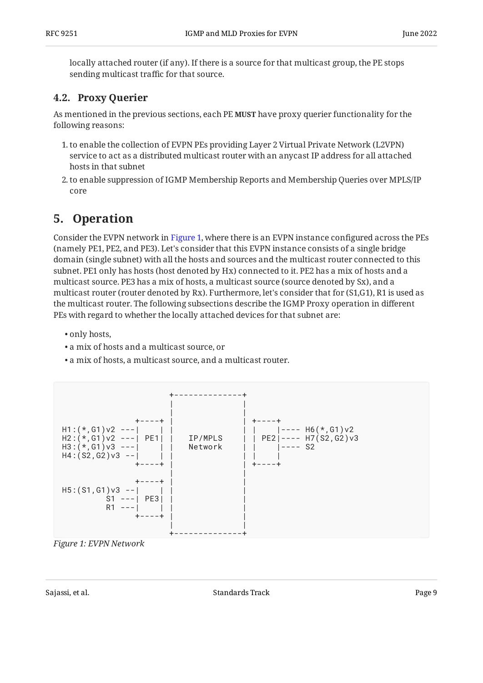locally attached router (if any). If there is a source for that multicast group, the PE stops sending multicast traffic for that source.

### <span id="page-8-0"></span>**[4.2. Proxy Querier](#page-8-0)**

As mentioned in the previous sections, each PE **MUST** have proxy querier functionality for the following reasons:

- 1. to enable the collection of EVPN PEs providing Layer 2 Virtual Private Network (L2VPN) service to act as a distributed multicast router with an anycast IP address for all attached hosts in that subnet
- 2. to enable suppression of IGMP Membership Reports and Membership Queries over MPLS/IP core

# <span id="page-8-1"></span>**[5. Operation](#page-8-1)**

Consider the EVPN network in [Figure 1,](#page-8-2) where there is an EVPN instance configured across the PEs (namely PE1, PE2, and PE3). Let's consider that this EVPN instance consists of a single bridge domain (single subnet) with all the hosts and sources and the multicast router connected to this subnet. PE1 only has hosts (host denoted by Hx) connected to it. PE2 has a mix of hosts and a multicast source. PE3 has a mix of hosts, a multicast source (source denoted by Sx), and a multicast router (router denoted by Rx). Furthermore, let's consider that for (S1,G1), R1 is used as the multicast router. The following subsections describe the IGMP Proxy operation in different PEs with regard to whether the locally attached devices for that subnet are:

- only hosts,
- a mix of hosts and a multicast source, or •
- a mix of hosts, a multicast source, and a multicast router. •

<span id="page-8-2"></span>

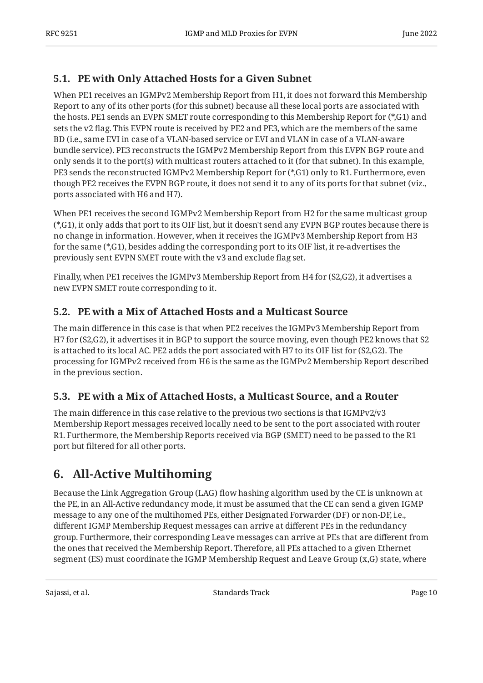#### <span id="page-9-0"></span>**[5.1. PE with Only Attached Hosts for a Given Subnet](#page-9-0)**

When PE1 receives an IGMPv2 Membership Report from H1, it does not forward this Membership Report to any of its other ports (for this subnet) because all these local ports are associated with the hosts. PE1 sends an EVPN SMET route corresponding to this Membership Report for (\*,G1) and sets the v2 flag. This EVPN route is received by PE2 and PE3, which are the members of the same BD (i.e., same EVI in case of a VLAN-based service or EVI and VLAN in case of a VLAN-aware bundle service). PE3 reconstructs the IGMPv2 Membership Report from this EVPN BGP route and only sends it to the port(s) with multicast routers attached to it (for that subnet). In this example, PE3 sends the reconstructed IGMPv2 Membership Report for (\*,G1) only to R1. Furthermore, even though PE2 receives the EVPN BGP route, it does not send it to any of its ports for that subnet (viz., ports associated with H6 and H7).

When PE1 receives the second IGMPv2 Membership Report from H2 for the same multicast group (\*,G1), it only adds that port to its OIF list, but it doesn't send any EVPN BGP routes because there is no change in information. However, when it receives the IGMPv3 Membership Report from H3 for the same (\*,G1), besides adding the corresponding port to its OIF list, it re-advertises the previously sent EVPN SMET route with the v3 and exclude flag set.

Finally, when PE1 receives the IGMPv3 Membership Report from H4 for (S2,G2), it advertises a new EVPN SMET route corresponding to it.

#### <span id="page-9-1"></span>**[5.2. PE with a Mix of Attached Hosts and a Multicast Source](#page-9-1)**

The main difference in this case is that when PE2 receives the IGMPv3 Membership Report from H7 for (S2,G2), it advertises it in BGP to support the source moving, even though PE2 knows that S2 is attached to its local AC. PE2 adds the port associated with H7 to its OIF list for (S2,G2). The processing for IGMPv2 received from H6 is the same as the IGMPv2 Membership Report described in the previous section.

#### <span id="page-9-2"></span>**[5.3. PE with a Mix of Attached Hosts, a Multicast Source, and a Router](#page-9-2)**

The main difference in this case relative to the previous two sections is that IGMPv2/v3 Membership Report messages received locally need to be sent to the port associated with router R1. Furthermore, the Membership Reports received via BGP (SMET) need to be passed to the R1 port but filtered for all other ports.

# <span id="page-9-3"></span>**[6. All-Active Multihoming](#page-9-3)**

Because the Link Aggregation Group (LAG) flow hashing algorithm used by the CE is unknown at the PE, in an All-Active redundancy mode, it must be assumed that the CE can send a given IGMP message to any one of the multihomed PEs, either Designated Forwarder (DF) or non-DF, i.e., different IGMP Membership Request messages can arrive at different PEs in the redundancy group. Furthermore, their corresponding Leave messages can arrive at PEs that are different from the ones that received the Membership Report. Therefore, all PEs attached to a given Ethernet segment (ES) must coordinate the IGMP Membership Request and Leave Group (x,G) state, where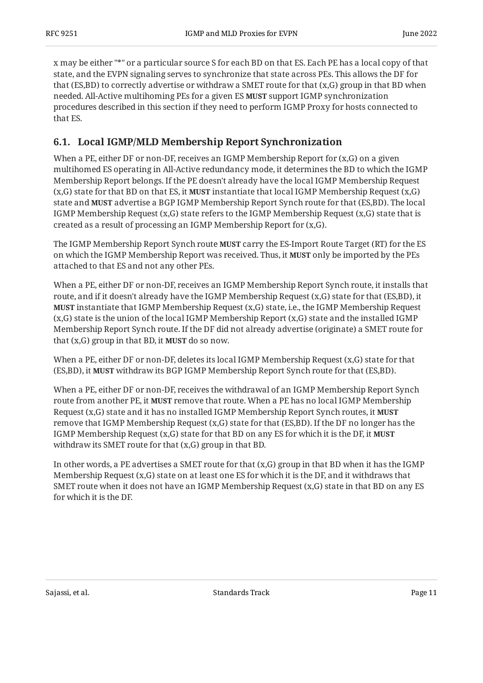x may be either "\*" or a particular source S for each BD on that ES. Each PE has a local copy of that state, and the EVPN signaling serves to synchronize that state across PEs. This allows the DF for that (ES,BD) to correctly advertise or withdraw a SMET route for that (x,G) group in that BD when needed. All-Active multihoming PEs for a given ES **MUST** support IGMP synchronization procedures described in this section if they need to perform IGMP Proxy for hosts connected to that ES.

#### <span id="page-10-0"></span>**[6.1. Local IGMP/MLD Membership Report Synchronization](#page-10-0)**

When a PE, either DF or non-DF, receives an IGMP Membership Report for  $(x,G)$  on a given multihomed ES operating in All-Active redundancy mode, it determines the BD to which the IGMP Membership Report belongs. If the PE doesn't already have the local IGMP Membership Request  $(x,G)$  state for that BD on that ES, it **MUST** instantiate that local IGMP Membership Request  $(x,G)$ state and **MUST** advertise a BGP IGMP Membership Report Synch route for that (ES,BD). The local IGMP Membership Request  $(x,G)$  state refers to the IGMP Membership Request  $(x,G)$  state that is created as a result of processing an IGMP Membership Report for (x,G).

The IGMP Membership Report Synch route **MUST** carry the ES-Import Route Target (RT) for the ES on which the IGMP Membership Report was received. Thus, it **MUST** only be imported by the PEs attached to that ES and not any other PEs.

When a PE, either DF or non-DF, receives an IGMP Membership Report Synch route, it installs that route, and if it doesn't already have the IGMP Membership Request (x,G) state for that (ES,BD), it **MUST** instantiate that IGMP Membership Request (x,G) state, i.e., the IGMP Membership Request (x,G) state is the union of the local IGMP Membership Report (x,G) state and the installed IGMP Membership Report Synch route. If the DF did not already advertise (originate) a SMET route for that  $(x, G)$  group in that BD, it **MUST** do so now.

When a PE, either DF or non-DF, deletes its local IGMP Membership Request (x,G) state for that (ES,BD), it withdraw its BGP IGMP Membership Report Synch route for that (ES,BD). **MUST**

When a PE, either DF or non-DF, receives the withdrawal of an IGMP Membership Report Synch route from another PE, it **MUST** remove that route. When a PE has no local IGMP Membership Request (x,G) state and it has no installed IGMP Membership Report Synch routes, it **MUST** remove that IGMP Membership Request (x,G) state for that (ES,BD). If the DF no longer has the IGMP Membership Request (x,G) state for that BD on any ES for which it is the DF, it **MUST** withdraw its SMET route for that (x,G) group in that BD.

In other words, a PE advertises a SMET route for that  $(x, G)$  group in that BD when it has the IGMP Membership Request (x,G) state on at least one ES for which it is the DF, and it withdraws that SMET route when it does not have an IGMP Membership Request (x,G) state in that BD on any ES for which it is the DF.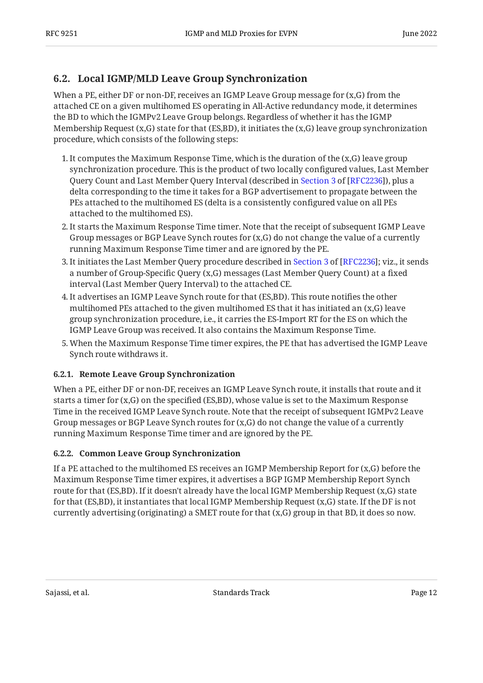#### <span id="page-11-0"></span>**[6.2. Local IGMP/MLD Leave Group Synchronization](#page-11-0)**

When a PE, either DF or non-DF, receives an IGMP Leave Group message for (x,G) from the attached CE on a given multihomed ES operating in All-Active redundancy mode, it determines the BD to which the IGMPv2 Leave Group belongs. Regardless of whether it has the IGMP Membership Request  $(x, G)$  state for that  $(ES, BD)$ , it initiates the  $(x, G)$  leave group synchronization procedure, which consists of the following steps:

- 1. It computes the Maximum Response Time, which is the duration of the (x,G) leave group synchronization procedure. This is the product of two locally configured values, Last Member QueryCount and Last Member Query Interval (described in Section 3 of [RFC2236]), plus a delta corresponding to the time it takes for a BGP advertisement to propagate between the PEs attached to the multihomed ES (delta is a consistently configured value on all PEs attached to the multihomed ES).
- 2. It starts the Maximum Response Time timer. Note that the receipt of subsequent IGMP Leave Group messages or BGP Leave Synch routes for (x,G) do not change the value of a currently running Maximum Response Time timer and are ignored by the PE.
- 3.It initiates the Last Member Query procedure described in Section 3 of [RFC2236]; viz., it sends a number of Group-Specific Query (x,G) messages (Last Member Query Count) at a fixed interval (Last Member Query Interval) to the attached CE.
- It advertises an IGMP Leave Synch route for that (ES,BD). This route notifies the other 4. multihomed PEs attached to the given multihomed ES that it has initiated an (x,G) leave group synchronization procedure, i.e., it carries the ES-Import RT for the ES on which the IGMP Leave Group was received. It also contains the Maximum Response Time.
- 5. When the Maximum Response Time timer expires, the PE that has advertised the IGMP Leave Synch route withdraws it.

#### <span id="page-11-1"></span>**[6.2.1. Remote Leave Group Synchronization](#page-11-1)**

When a PE, either DF or non-DF, receives an IGMP Leave Synch route, it installs that route and it starts a timer for (x,G) on the specified (ES,BD), whose value is set to the Maximum Response Time in the received IGMP Leave Synch route. Note that the receipt of subsequent IGMPv2 Leave Group messages or BGP Leave Synch routes for (x,G) do not change the value of a currently running Maximum Response Time timer and are ignored by the PE.

#### <span id="page-11-2"></span>**[6.2.2. Common Leave Group Synchronization](#page-11-2)**

If a PE attached to the multihomed ES receives an IGMP Membership Report for  $(x, G)$  before the Maximum Response Time timer expires, it advertises a BGP IGMP Membership Report Synch route for that (ES,BD). If it doesn't already have the local IGMP Membership Request (x,G) state for that (ES,BD), it instantiates that local IGMP Membership Request (x,G) state. If the DF is not currently advertising (originating) a SMET route for that (x,G) group in that BD, it does so now.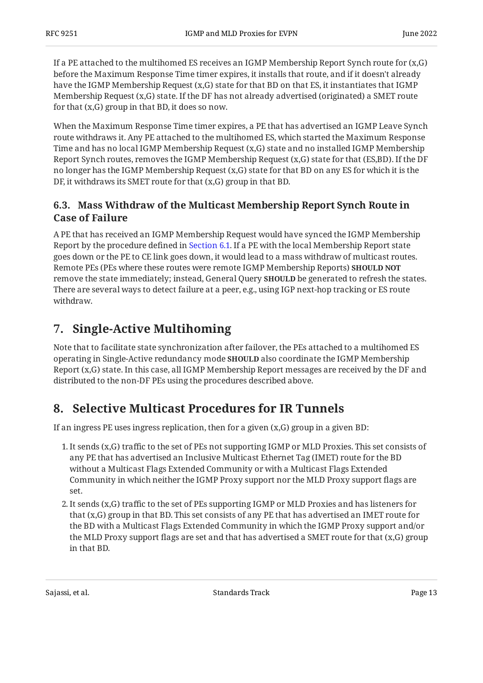If a PE attached to the multihomed ES receives an IGMP Membership Report Synch route for  $(x, G)$ before the Maximum Response Time timer expires, it installs that route, and if it doesn't already have the IGMP Membership Request (x,G) state for that BD on that ES, it instantiates that IGMP Membership Request (x,G) state. If the DF has not already advertised (originated) a SMET route for that (x,G) group in that BD, it does so now.

When the Maximum Response Time timer expires, a PE that has advertised an IGMP Leave Synch route withdraws it. Any PE attached to the multihomed ES, which started the Maximum Response Time and has no local IGMP Membership Request (x,G) state and no installed IGMP Membership Report Synch routes, removes the IGMP Membership Request (x,G) state for that (ES,BD). If the DF no longer has the IGMP Membership Request (x,G) state for that BD on any ES for which it is the DF, it withdraws its SMET route for that (x,G) group in that BD.

#### <span id="page-12-0"></span>**[6.3. Mass Withdraw of the Multicast Membership Report Synch Route in](#page-12-0) [Case of Failure](#page-12-0)**

A PE that has received an IGMP Membership Request would have synced the IGMP Membership Report by the procedure defined in [Section 6.1](#page-10-0). If a PE with the local Membership Report state goes down or the PE to CE link goes down, it would lead to a mass withdraw of multicast routes. Remote PEs (PEs where these routes were remote IGMP Membership Reports) **SHOULD NOT** remove the state immediately; instead, General Query **SHOULD** be generated to refresh the states. There are several ways to detect failure at a peer, e.g., using IGP next-hop tracking or ES route withdraw.

# <span id="page-12-1"></span>**[7. Single-Active Multihoming](#page-12-1)**

Note that to facilitate state synchronization after failover, the PEs attached to a multihomed ES operating in Single-Active redundancy mode **SHOULD** also coordinate the IGMP Membership Report (x,G) state. In this case, all IGMP Membership Report messages are received by the DF and distributed to the non-DF PEs using the procedures described above.

# <span id="page-12-2"></span>**[8. Selective Multicast Procedures for IR Tunnels](#page-12-2)**

If an ingress PE uses ingress replication, then for a given  $(x, G)$  group in a given BD:

- 1. It sends (x,G) traffic to the set of PEs not supporting IGMP or MLD Proxies. This set consists of any PE that has advertised an Inclusive Multicast Ethernet Tag (IMET) route for the BD without a Multicast Flags Extended Community or with a Multicast Flags Extended Community in which neither the IGMP Proxy support nor the MLD Proxy support flags are set.
- 2. It sends (x,G) traffic to the set of PEs supporting IGMP or MLD Proxies and has listeners for that (x,G) group in that BD. This set consists of any PE that has advertised an IMET route for the BD with a Multicast Flags Extended Community in which the IGMP Proxy support and/or the MLD Proxy support flags are set and that has advertised a SMET route for that  $(x,G)$  group in that BD.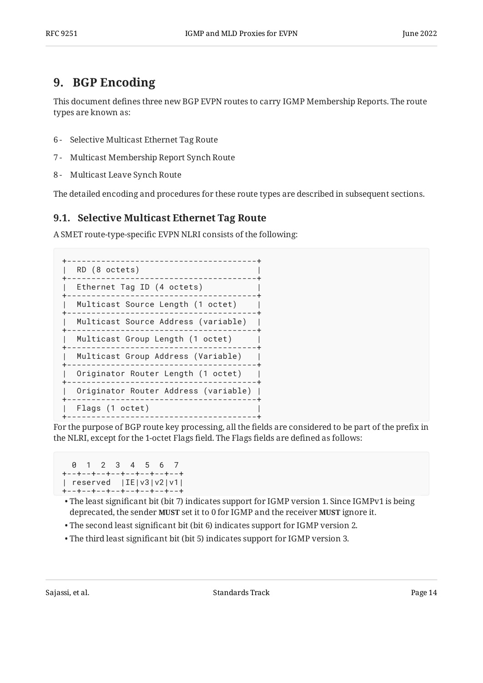# <span id="page-13-0"></span>**[9. BGP Encoding](#page-13-0)**

This document defines three new BGP EVPN routes to carry IGMP Membership Reports. The route types are known as:

- 6 Selective Multicast Ethernet Tag Route
- 7 Multicast Membership Report Synch Route
- 8 Multicast Leave Synch Route

<span id="page-13-1"></span>The detailed encoding and procedures for these route types are described in subsequent sections.

#### **[9.1. Selective Multicast Ethernet Tag Route](#page-13-1)**

A SMET route-type-specific EVPN NLRI consists of the following:

```
+---------------------------------------+
| RD (8 octets) |
+---------------------------------------+
| Ethernet Tag ID (4 octets) |
  +---------------------------------------+
| Multicast Source Length (1 octet) |
+---------------------------------------+
| Multicast Source Address (variable) |
+---------------------------------------+
| Multicast Group Length (1 octet) |
+---------------------------------------+
| Multicast Group Address (Variable) |
+---------------------------------------+
| Originator Router Length (1 octet) |
+---------------------------------------+
  | Originator Router Address (variable) |
+---------------------------------------+
| Flags (1 octet) |
                     +---------------------------------------+
```
For the purpose of BGP route key processing, all the fields are considered to be part of the prefix in the NLRI, except for the 1-octet Flags field. The Flags fields are defined as follows:

 0 1 2 3 4 5 6 7 +--+--+--+--+--+--+--+--+ | reserved |IE|v3|v2|v1| +--+--+--+--+--+--+--+--+

- $\bullet$  The least significant bit (bit 7) indicates support for IGMP version 1. Since IGMPv1 is being deprecated, the sender **MUST** set it to 0 for IGMP and the receiver **MUST** ignore it.
- The second least significant bit (bit 6) indicates support for IGMP version 2. •
- The third least significant bit (bit 5) indicates support for IGMP version 3. •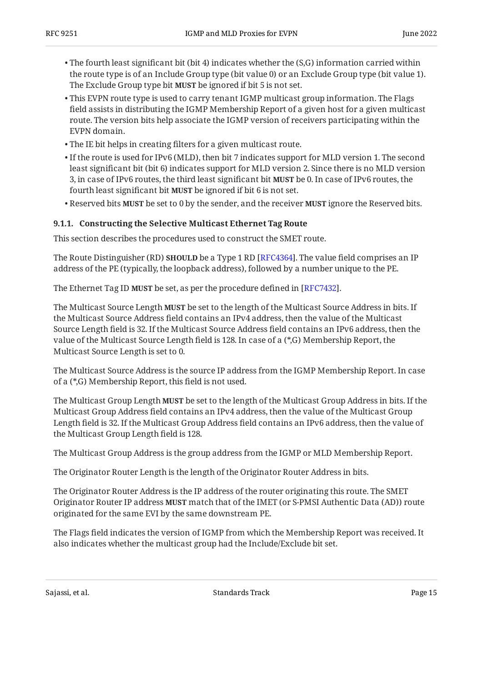- $\bullet$  The fourth least significant bit (bit 4) indicates whether the (S,G) information carried within the route type is of an Include Group type (bit value 0) or an Exclude Group type (bit value 1). The Exclude Group type bit **MUST** be ignored if bit 5 is not set.
- $\bullet$  This EVPN route type is used to carry tenant IGMP multicast group information. The Flags field assists in distributing the IGMP Membership Report of a given host for a given multicast route. The version bits help associate the IGMP version of receivers participating within the EVPN domain.
- The IE bit helps in creating filters for a given multicast route. •
- $\bullet$  If the route is used for IPv6 (MLD), then bit 7 indicates support for MLD version 1. The second least significant bit (bit 6) indicates support for MLD version 2. Since there is no MLD version 3, in case of IPv6 routes, the third least significant bit **MUST** be 0. In case of IPv6 routes, the fourth least significant bit **MUST** be ignored if bit 6 is not set.
- Reserved bits MUST be set to 0 by the sender, and the receiver MUST ignore the Reserved bits.

#### <span id="page-14-0"></span>**[9.1.1. Constructing the Selective Multicast Ethernet Tag Route](#page-14-0)**

This section describes the procedures used to construct the SMET route.

The Route Distinguisher (RD) **SHOULD** be a Type 1 RD [RFC4364]. The value field comprises an IP address of the PE (typically, the loopback address), followed by a number unique to the PE.

The Ethernet Tag ID MUST be set, as per the procedure defined in [RFC7432].

The Multicast Source Length **MUST** be set to the length of the Multicast Source Address in bits. If the Multicast Source Address field contains an IPv4 address, then the value of the Multicast Source Length field is 32. If the Multicast Source Address field contains an IPv6 address, then the value of the Multicast Source Length field is 128. In case of a (\*,G) Membership Report, the Multicast Source Length is set to 0.

The Multicast Source Address is the source IP address from the IGMP Membership Report. In case of a (\*,G) Membership Report, this field is not used.

The Multicast Group Length **MUST** be set to the length of the Multicast Group Address in bits. If the Multicast Group Address field contains an IPv4 address, then the value of the Multicast Group Length field is 32. If the Multicast Group Address field contains an IPv6 address, then the value of the Multicast Group Length field is 128.

The Multicast Group Address is the group address from the IGMP or MLD Membership Report.

The Originator Router Length is the length of the Originator Router Address in bits.

The Originator Router Address is the IP address of the router originating this route. The SMET Originator Router IP address MUST match that of the IMET (or S-PMSI Authentic Data (AD)) route originated for the same EVI by the same downstream PE.

The Flags field indicates the version of IGMP from which the Membership Report was received. It also indicates whether the multicast group had the Include/Exclude bit set.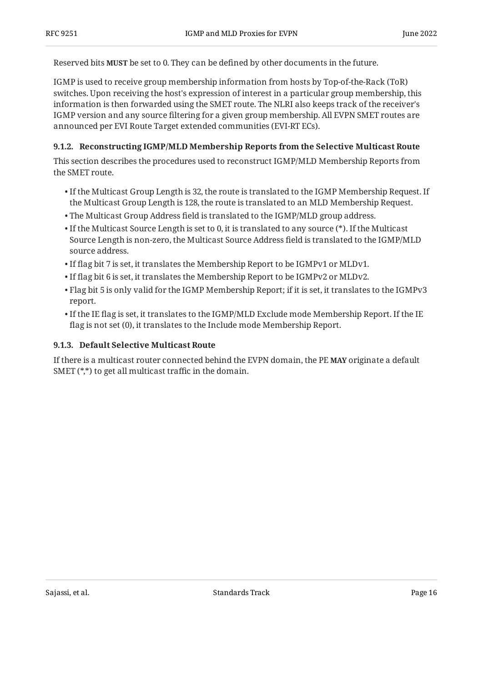Reserved bits **MUST** be set to 0. They can be defined by other documents in the future.

IGMP is used to receive group membership information from hosts by Top-of-the-Rack (ToR) switches. Upon receiving the host's expression of interest in a particular group membership, this information is then forwarded using the SMET route. The NLRI also keeps track of the receiver's IGMP version and any source filtering for a given group membership. All EVPN SMET routes are announced per EVI Route Target extended communities (EVI-RT ECs).

#### <span id="page-15-0"></span>**[9.1.2. Reconstructing IGMP/MLD Membership Reports from the Selective Multicast Route](#page-15-0)**

This section describes the procedures used to reconstruct IGMP/MLD Membership Reports from the SMET route.

- $\bullet$  If the Multicast Group Length is 32, the route is translated to the IGMP Membership Request. If the Multicast Group Length is 128, the route is translated to an MLD Membership Request.
- The Multicast Group Address field is translated to the IGMP/MLD group address. •
- $\bullet$  If the Multicast Source Length is set to 0, it is translated to any source (\*). If the Multicast Source Length is non-zero, the Multicast Source Address field is translated to the IGMP/MLD source address.
- $\bullet$  If flag bit 7 is set, it translates the Membership Report to be IGMPv1 or MLDv1.
- $\bullet$  If flag bit 6 is set, it translates the Membership Report to be IGMPv2 or MLDv2.
- $\bullet$  Flag bit 5 is only valid for the IGMP Membership Report; if it is set, it translates to the IGMPv3 report.
- $\bullet$  If the IE flag is set, it translates to the IGMP/MLD Exclude mode Membership Report. If the IE flag is not set (0), it translates to the Include mode Membership Report.

#### <span id="page-15-1"></span>**[9.1.3. Default Selective Multicast Route](#page-15-1)**

<span id="page-15-2"></span>If there is a multicast router connected behind the EVPN domain, the PE **MAY** originate a default SMET (\*,\*) to get all multicast traffic in the domain.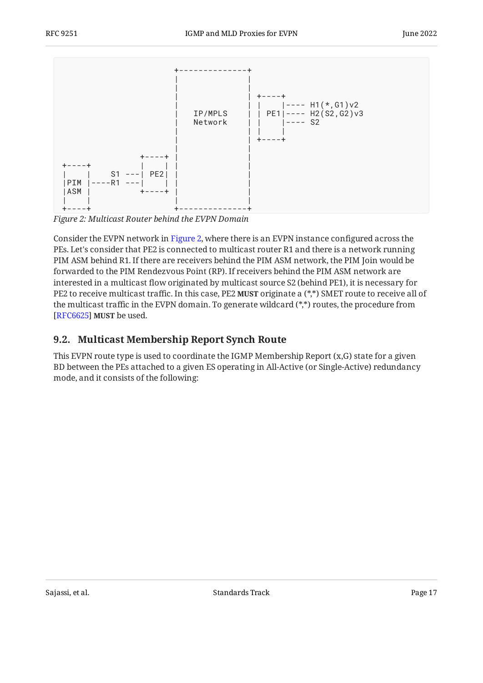<span id="page-16-1"></span>

*[Figure 2:](#page-16-1) [Multicast Router behind the EVPN Domain](#page-15-2)* 

Consider the EVPN network in [Figure 2,](#page-16-1) where there is an EVPN instance configured across the PEs. Let's consider that PE2 is connected to multicast router R1 and there is a network running PIM ASM behind R1. If there are receivers behind the PIM ASM network, the PIM Join would be forwarded to the PIM Rendezvous Point (RP). If receivers behind the PIM ASM network are interested in a multicast flow originated by multicast source S2 (behind PE1), it is necessary for PE2 to receive multicast traffic. In this case, PE2 **MUST** originate a (\*,\*) SMET route to receive all of the multicast traffic in the EVPN domain. To generate wildcard (\*,\*) routes, the procedure from [[RFC6625\]](#page-27-7) **MUST** be used.

#### <span id="page-16-0"></span>**[9.2. Multicast Membership Report Synch Route](#page-16-0)**

This EVPN route type is used to coordinate the IGMP Membership Report (x,G) state for a given BD between the PEs attached to a given ES operating in All-Active (or Single-Active) redundancy mode, and it consists of the following: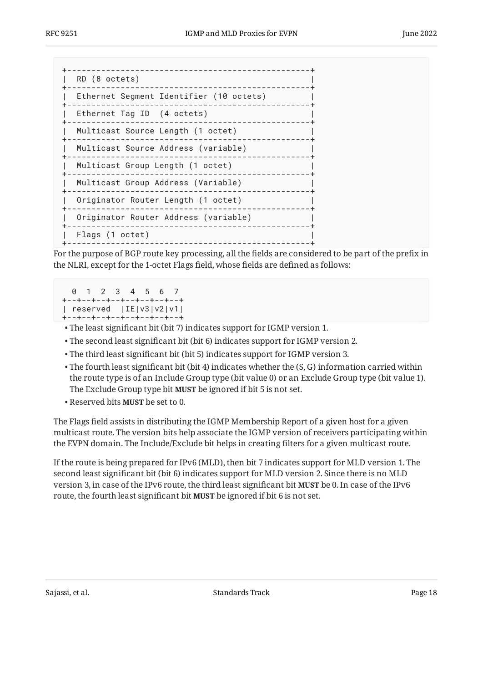| RD (8 octets)                           |
|-----------------------------------------|
| Ethernet Segment Identifier (10 octets) |
| Ethernet Tag ID (4 octets)              |
| Multicast Source Length (1 octet)       |
| Multicast Source Address (variable)     |
| Multicast Group Length (1 octet)        |
| Multicast Group Address (Variable)      |
| Originator Router Length (1 octet)      |
| Originator Router Address (variable)    |
| Flags (1 octet)                         |
|                                         |

For the purpose of BGP route key processing, all the fields are considered to be part of the prefix in the NLRI, except for the 1-octet Flags field, whose fields are defined as follows:

 0 1 2 3 4 5 6 7 +--+--+--+--+--+--+--+--+ | reserved |IE|v3|v2|v1| +--+--+--+--+--+--+--+--+

- The least significant bit (bit 7) indicates support for IGMP version 1. •
- The second least significant bit (bit 6) indicates support for IGMP version 2. •
- The third least significant bit (bit 5) indicates support for IGMP version 3. •
- $\bullet$  The fourth least significant bit (bit 4) indicates whether the (S, G) information carried within the route type is of an Include Group type (bit value 0) or an Exclude Group type (bit value 1). The Exclude Group type bit MUST be ignored if bit 5 is not set.
- Reserved bits **MUST** be set to 0.

The Flags field assists in distributing the IGMP Membership Report of a given host for a given multicast route. The version bits help associate the IGMP version of receivers participating within the EVPN domain. The Include/Exclude bit helps in creating filters for a given multicast route.

If the route is being prepared for IPv6 (MLD), then bit 7 indicates support for MLD version 1. The second least significant bit (bit 6) indicates support for MLD version 2. Since there is no MLD version 3, in case of the IPv6 route, the third least significant bit **MUST** be 0. In case of the IPv6 route, the fourth least significant bit **MUST** be ignored if bit 6 is not set.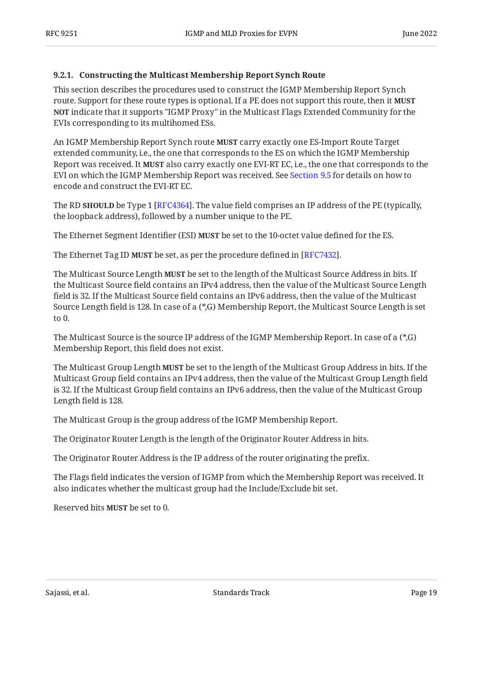#### <span id="page-18-0"></span>**[9.2.1. Constructing the Multicast Membership Report Synch Route](#page-18-0)**

This section describes the procedures used to construct the IGMP Membership Report Synch route. Support for these route types is optional. If a PE does not support this route, then it **MUST** <code>NOT</code> indicate that it supports "IGMP Proxy" in the Multicast Flags Extended Community for the EVIs corresponding to its multihomed ESs.

An IGMP Membership Report Synch route **MUST** carry exactly one ES-Import Route Target extended community, i.e., the one that corresponds to the ES on which the IGMP Membership Report was received. It MUST also carry exactly one EVI-RT EC, i.e., the one that corresponds to the EVI on which the IGMP Membership Report was received. See [Section 9.5](#page-23-0) for details on how to encode and construct the EVI-RT EC.

The RD **SHOULD** be Type 1 [RFC4364]. The value field comprises an IP address of the PE (typically, the loopback address), followed by a number unique to the PE.

The Ethernet Segment Identifier (ESI) **MUST** be set to the 10-octet value defined for the ES.

The Ethernet Tag ID **MUST** be set, as per the procedure defined in [RFC7432].

The Multicast Source Length **MUST** be set to the length of the Multicast Source Address in bits. If the Multicast Source field contains an IPv4 address, then the value of the Multicast Source Length field is 32. If the Multicast Source field contains an IPv6 address, then the value of the Multicast Source Length field is 128. In case of a (\*,G) Membership Report, the Multicast Source Length is set to 0.

The Multicast Source is the source IP address of the IGMP Membership Report. In case of a (\*,G) Membership Report, this field does not exist.

The Multicast Group Length **MUST** be set to the length of the Multicast Group Address in bits. If the Multicast Group field contains an IPv4 address, then the value of the Multicast Group Length field is 32. If the Multicast Group field contains an IPv6 address, then the value of the Multicast Group Length field is 128.

The Multicast Group is the group address of the IGMP Membership Report.

The Originator Router Length is the length of the Originator Router Address in bits.

The Originator Router Address is the IP address of the router originating the prefix.

The Flags field indicates the version of IGMP from which the Membership Report was received. It also indicates whether the multicast group had the Include/Exclude bit set.

Reserved bits **MUST** be set to 0.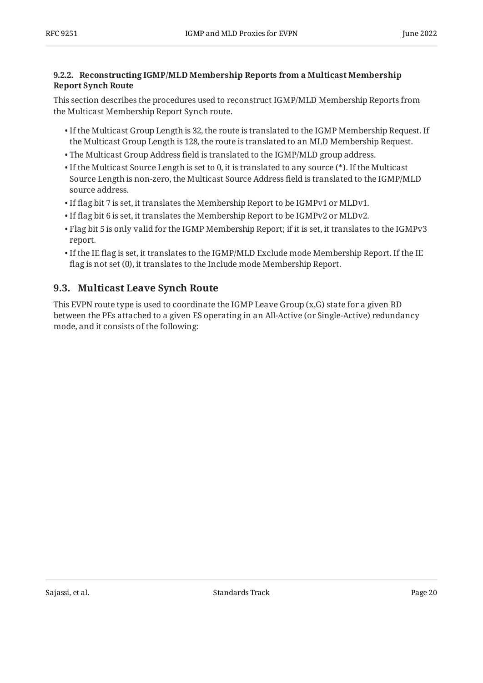#### <span id="page-19-0"></span>**[9.2.2. Reconstructing IGMP/MLD Membership Reports from a Multicast Membership](#page-19-0) [Report Synch Route](#page-19-0)**

This section describes the procedures used to reconstruct IGMP/MLD Membership Reports from the Multicast Membership Report Synch route.

- $\bullet$  If the Multicast Group Length is 32, the route is translated to the IGMP Membership Request. If the Multicast Group Length is 128, the route is translated to an MLD Membership Request.
- The Multicast Group Address field is translated to the IGMP/MLD group address. •
- $\bullet$  If the Multicast Source Length is set to 0, it is translated to any source (\*). If the Multicast Source Length is non-zero, the Multicast Source Address field is translated to the IGMP/MLD source address.
- $\bullet$  If flag bit 7 is set, it translates the Membership Report to be IGMPv1 or MLDv1.
- $\bullet$  If flag bit 6 is set, it translates the Membership Report to be IGMPv2 or MLDv2.
- $\bullet$  Flag bit 5 is only valid for the IGMP Membership Report; if it is set, it translates to the IGMPv3 report.
- $\bullet$  If the IE flag is set, it translates to the IGMP/MLD Exclude mode Membership Report. If the IE flag is not set (0), it translates to the Include mode Membership Report.

### <span id="page-19-1"></span>**[9.3. Multicast Leave Synch Route](#page-19-1)**

This EVPN route type is used to coordinate the IGMP Leave Group (x,G) state for a given BD between the PEs attached to a given ES operating in an All-Active (or Single-Active) redundancy mode, and it consists of the following: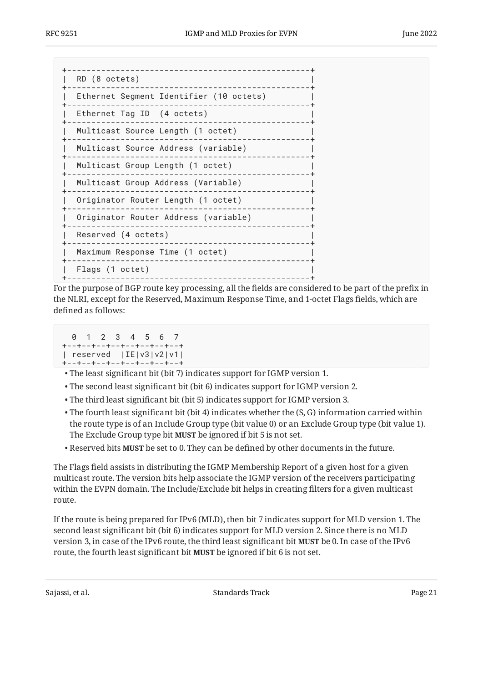| RD (8 octets)                           |  |
|-----------------------------------------|--|
| Ethernet Segment Identifier (10 octets) |  |
| Ethernet Tag ID (4 octets)              |  |
| Multicast Source Length (1 octet)       |  |
| Multicast Source Address (variable)     |  |
| Multicast Group Length (1 octet)        |  |
| Multicast Group Address (Variable)      |  |
| Originator Router Length (1 octet)      |  |
| Originator Router Address (variable)    |  |
| Reserved (4 octets)                     |  |
| Maximum Response Time (1 octet)         |  |
| Flags (1 octet)                         |  |
|                                         |  |

For the purpose of BGP route key processing, all the fields are considered to be part of the prefix in the NLRI, except for the Reserved, Maximum Response Time, and 1-octet Flags fields, which are defined as follows:

```
 0 1 2 3 4 5 6 7
+--+--+--+--+--+--+--+--+
| reserved |IE|v3|v2|v1|
+--+--+--+--+--+--+--+--+
```
- The least significant bit (bit 7) indicates support for IGMP version 1. •
- The second least significant bit (bit 6) indicates support for IGMP version 2. •
- The third least significant bit (bit 5) indicates support for IGMP version 3. •
- $\bullet$  The fourth least significant bit (bit 4) indicates whether the (S, G) information carried within the route type is of an Include Group type (bit value 0) or an Exclude Group type (bit value 1). The Exclude Group type bit MUST be ignored if bit 5 is not set.
- Reserved bits MUST be set to 0. They can be defined by other documents in the future.

The Flags field assists in distributing the IGMP Membership Report of a given host for a given multicast route. The version bits help associate the IGMP version of the receivers participating within the EVPN domain. The Include/Exclude bit helps in creating filters for a given multicast route.

If the route is being prepared for IPv6 (MLD), then bit 7 indicates support for MLD version 1. The second least significant bit (bit 6) indicates support for MLD version 2. Since there is no MLD version 3, in case of the IPv6 route, the third least significant bit **MUST** be 0. In case of the IPv6 route, the fourth least significant bit **MUST** be ignored if bit 6 is not set.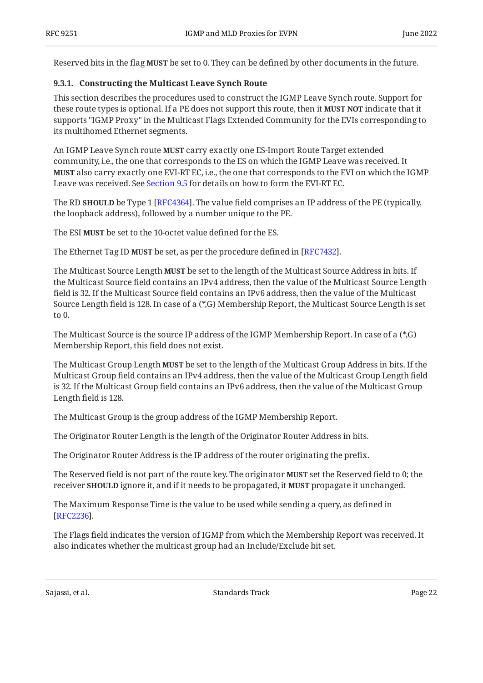<span id="page-21-0"></span>Reserved bits in the flag **MUST** be set to 0. They can be defined by other documents in the future.

#### **[9.3.1. Constructing the Multicast Leave Synch Route](#page-21-0)**

This section describes the procedures used to construct the IGMP Leave Synch route. Support for these route types is optional. If a PE does not support this route, then it **MUST NOT** indicate that it supports "IGMP Proxy" in the Multicast Flags Extended Community for the EVIs corresponding to its multihomed Ethernet segments.

An IGMP Leave Synch route **MUST** carry exactly one ES-Import Route Target extended community, i.e., the one that corresponds to the ES on which the IGMP Leave was received. It **MUST** also carry exactly one EVI-RT EC, i.e., the one that corresponds to the EVI on which the IGMP Leave was received. See [Section 9.5](#page-23-0) for details on how to form the EVI-RT EC.

The RD **SHOULD** be Type 1 [RFC4364]. The value field comprises an IP address of the PE (typically, the loopback address), followed by a number unique to the PE.

The ESI **MUST** be set to the 10-octet value defined for the ES.

The Ethernet Tag ID **MUST** be set, as per the procedure defined in [RFC7432].

The Multicast Source Length **MUST** be set to the length of the Multicast Source Address in bits. If the Multicast Source field contains an IPv4 address, then the value of the Multicast Source Length field is 32. If the Multicast Source field contains an IPv6 address, then the value of the Multicast Source Length field is 128. In case of a (\*,G) Membership Report, the Multicast Source Length is set to 0.

The Multicast Source is the source IP address of the IGMP Membership Report. In case of a (\*,G) Membership Report, this field does not exist.

The Multicast Group Length **MUST** be set to the length of the Multicast Group Address in bits. If the Multicast Group field contains an IPv4 address, then the value of the Multicast Group Length field is 32. If the Multicast Group field contains an IPv6 address, then the value of the Multicast Group Length field is 128.

The Multicast Group is the group address of the IGMP Membership Report.

The Originator Router Length is the length of the Originator Router Address in bits.

The Originator Router Address is the IP address of the router originating the prefix.

The Reserved field is not part of the route key. The originator **MUST** set the Reserved field to 0; the receiver **SHOULD** ignore it, and if it needs to be propagated, it **MUST** propagate it unchanged.

The Maximum Response Time is the value to be used while sending a query, as defined in . [[RFC2236\]](#page-27-5)

The Flags field indicates the version of IGMP from which the Membership Report was received. It also indicates whether the multicast group had an Include/Exclude bit set.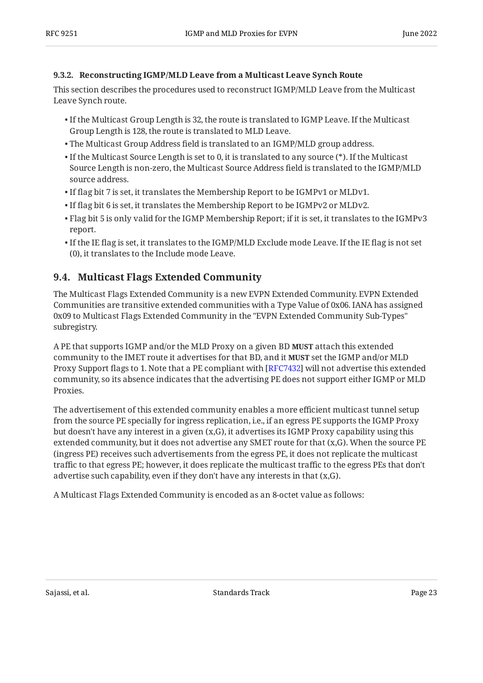#### <span id="page-22-0"></span>**[9.3.2. Reconstructing IGMP/MLD Leave from a Multicast Leave Synch Route](#page-22-0)**

This section describes the procedures used to reconstruct IGMP/MLD Leave from the Multicast Leave Synch route.

- $\bullet$  If the Multicast Group Length is 32, the route is translated to IGMP Leave. If the Multicast Group Length is 128, the route is translated to MLD Leave.
- The Multicast Group Address field is translated to an IGMP/MLD group address. •
- $\bullet$  If the Multicast Source Length is set to 0, it is translated to any source (\*). If the Multicast Source Length is non-zero, the Multicast Source Address field is translated to the IGMP/MLD source address.
- $\bullet$  If flag bit 7 is set, it translates the Membership Report to be IGMPv1 or MLDv1.
- $\bullet$  If flag bit 6 is set, it translates the Membership Report to be IGMPv2 or MLDv2.
- $\bullet$  Flag bit 5 is only valid for the IGMP Membership Report; if it is set, it translates to the IGMPv3 report.
- $\bullet$  If the IE flag is set, it translates to the IGMP/MLD Exclude mode Leave. If the IE flag is not set (0), it translates to the Include mode Leave.

### <span id="page-22-1"></span>**[9.4. Multicast Flags Extended Community](#page-22-1)**

The Multicast Flags Extended Community is a new EVPN Extended Community. EVPN Extended Communities are transitive extended communities with a Type Value of 0x06. IANA has assigned 0x09 to Multicast Flags Extended Community in the "EVPN Extended Community Sub-Types" subregistry.

A PE that supports IGMP and/or the MLD Proxy on a given BD **MUST** attach this extended community to the IMET route it advertises for that BD, and it **MUST** set the IGMP and/or MLD Proxy Support flags to 1. Note that a PE compliant with [RFC7432] will not advertise this extended community, so its absence indicates that the advertising PE does not support either IGMP or MLD Proxies.

The advertisement of this extended community enables a more efficient multicast tunnel setup from the source PE specially for ingress replication, i.e., if an egress PE supports the IGMP Proxy but doesn't have any interest in a given  $(x, G)$ , it advertises its IGMP Proxy capability using this extended community, but it does not advertise any SMET route for that (x,G). When the source PE (ingress PE) receives such advertisements from the egress PE, it does not replicate the multicast traffic to that egress PE; however, it does replicate the multicast traffic to the egress PEs that don't advertise such capability, even if they don't have any interests in that (x,G).

A Multicast Flags Extended Community is encoded as an 8-octet value as follows: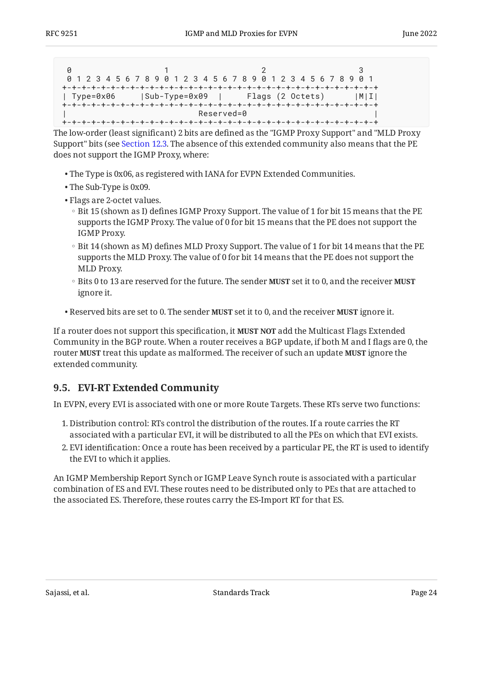|            |  | 0 1 2 3 4 5 6 7 8 9 0 1 2 3 4 5 6 7 8 9 0 1 2 3 4 5 6 7 8 9 0 1     |  |
|------------|--|---------------------------------------------------------------------|--|
|            |  |                                                                     |  |
|            |  | Type=0x06       Sub-Type=0x09          Flags (2 Octets)         M I |  |
|            |  |                                                                     |  |
| Reserved=0 |  |                                                                     |  |
|            |  |                                                                     |  |

The low-order (least significant) 2 bits are defined as the "IGMP Proxy Support" and "MLD Proxy Support" bits (see [Section 12.3.](#page-26-3) The absence of this extended community also means that the PE does not support the IGMP Proxy, where:

- The Type is 0x06, as registered with IANA for EVPN Extended Communities. •
- The Sub-Type is 0x09.
- Flags are 2-octet values.
	- Bit 15 (shown as I) defines IGMP Proxy Support. The value of 1 for bit 15 means that the PE supports the IGMP Proxy. The value of 0 for bit 15 means that the PE does not support the IGMP Proxy.
	- Bit 14 (shown as M) defines MLD Proxy Support. The value of 1 for bit 14 means that the PE supports the MLD Proxy. The value of 0 for bit 14 means that the PE does not support the MLD Proxy.
	- Bits 0 to 13 are reserved for the future. The sender **MUST** set it to 0, and the receiver **MUST** ignore it.
- Reserved bits are set to 0. The sender MUST set it to 0, and the receiver MUST ignore it.

If a router does not support this specification, it **MUST NOT** add the Multicast Flags Extended Community in the BGP route. When a router receives a BGP update, if both M and I flags are 0, the  ${\bf r}$ outer **MUST** treat this update as malformed. The receiver of such an update **MUST** ignore the extended community.

#### <span id="page-23-0"></span>**[9.5. EVI-RT Extended Community](#page-23-0)**

In EVPN, every EVI is associated with one or more Route Targets. These RTs serve two functions:

- 1. Distribution control: RTs control the distribution of the routes. If a route carries the RT associated with a particular EVI, it will be distributed to all the PEs on which that EVI exists.
- EVI identification: Once a route has been received by a particular PE, the RT is used to identify 2. the EVI to which it applies.

An IGMP Membership Report Synch or IGMP Leave Synch route is associated with a particular combination of ES and EVI. These routes need to be distributed only to PEs that are attached to the associated ES. Therefore, these routes carry the ES-Import RT for that ES.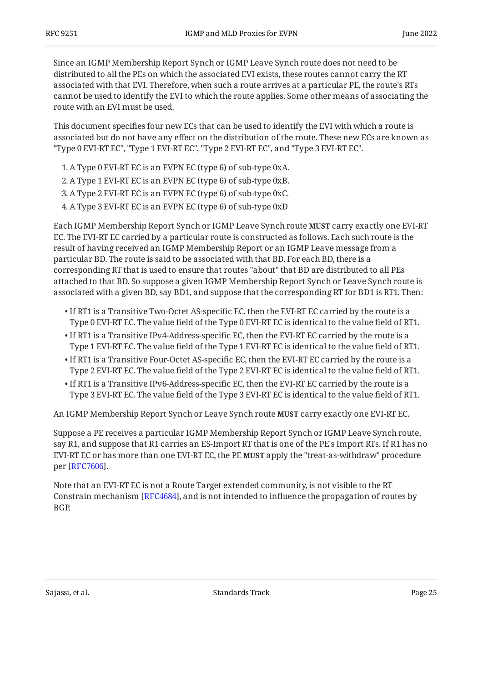Since an IGMP Membership Report Synch or IGMP Leave Synch route does not need to be distributed to all the PEs on which the associated EVI exists, these routes cannot carry the RT associated with that EVI. Therefore, when such a route arrives at a particular PE, the route's RTs cannot be used to identify the EVI to which the route applies. Some other means of associating the route with an EVI must be used.

This document specifies four new ECs that can be used to identify the EVI with which a route is associated but do not have any effect on the distribution of the route. These new ECs are known as "Type 0 EVI-RT EC", "Type 1 EVI-RT EC", "Type 2 EVI-RT EC", and "Type 3 EVI-RT EC".

- 1. A Type 0 EVI-RT EC is an EVPN EC (type 6) of sub-type 0xA.
- 2. A Type 1 EVI-RT EC is an EVPN EC (type 6) of sub-type 0xB.
- 3. A Type 2 EVI-RT EC is an EVPN EC (type 6) of sub-type 0xC.
- A Type 3 EVI-RT EC is an EVPN EC (type 6) of sub-type 0xD 4.

Each IGMP Membership Report Synch or IGMP Leave Synch route **MUST** carry exactly one EVI-RT EC. The EVI-RT EC carried by a particular route is constructed as follows. Each such route is the result of having received an IGMP Membership Report or an IGMP Leave message from a particular BD. The route is said to be associated with that BD. For each BD, there is a corresponding RT that is used to ensure that routes "about" that BD are distributed to all PEs attached to that BD. So suppose a given IGMP Membership Report Synch or Leave Synch route is associated with a given BD, say BD1, and suppose that the corresponding RT for BD1 is RT1. Then:

- $\bullet$  If RT1 is a Transitive Two-Octet AS-specific EC, then the EVI-RT EC carried by the route is a Type 0 EVI-RT EC. The value field of the Type 0 EVI-RT EC is identical to the value field of RT1.
- $\bullet$  If RT1 is a Transitive IPv4-Address-specific EC, then the EVI-RT EC carried by the route is a Type 1 EVI-RT EC. The value field of the Type 1 EVI-RT EC is identical to the value field of RT1.
- $\bullet$  If RT1 is a Transitive Four-Octet AS-specific EC, then the EVI-RT EC carried by the route is a Type 2 EVI-RT EC. The value field of the Type 2 EVI-RT EC is identical to the value field of RT1.
- $\bullet$  If RT1 is a Transitive IPv6-Address-specific EC, then the EVI-RT EC carried by the route is a Type 3 EVI-RT EC. The value field of the Type 3 EVI-RT EC is identical to the value field of RT1.

An IGMP Membership Report Synch or Leave Synch route **MUST** carry exactly one EVI-RT EC.

Suppose a PE receives a particular IGMP Membership Report Synch or IGMP Leave Synch route, say R1, and suppose that R1 carries an ES-Import RT that is one of the PE's Import RTs. If R1 has no EVI-RT EC or has more than one EVI-RT EC, the PE **MUST** apply the "treat-as-withdraw" procedure per [RFC7606].

Note that an EVI-RT EC is not a Route Target extended community, is not visible to the RT Constrain mechanism [[RFC4684\]](#page-27-8), and is not intended to influence the propagation of routes by BGP.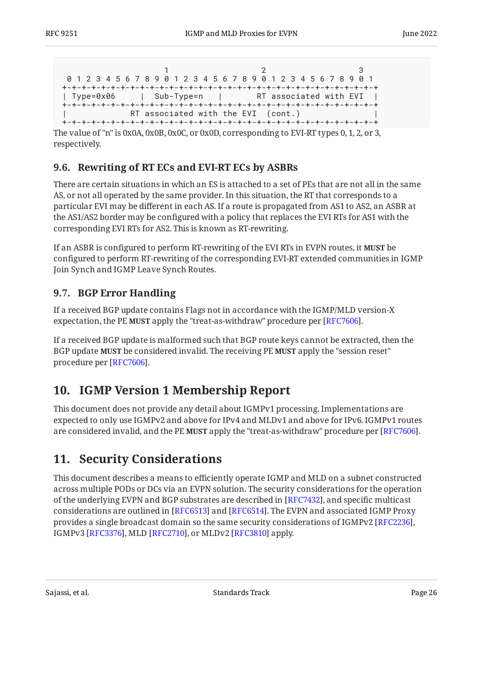```
1 2 3
 0 1 2 3 4 5 6 7 8 9 0 1 2 3 4 5 6 7 8 9 0 1 2 3 4 5 6 7 8 9 0 1
+-+-+-+-+-+-+-+-+-+-+-+-+-+-+-+-+-+-+-+-+-+-+-+-+-+-+-+-+-+-+-+-+
                         | RT associated with EVI
+-+-+-+-+-+-+-+-+-+-+-+-+-+-+-+-+-+-+-+-+-+-+-+-+-+-+-+-+-+-+-+-+
           RT associated with the EVI (cont.)
+-+-+-+-+-+-+-+-+-+-+-+-+-+-+-+-+-+-+-+-+-+-+-+-+-+-+-+-+-+-+-+-+
```
The value of "n" is 0x0A, 0x0B, 0x0C, or 0x0D, corresponding to EVI-RT types 0, 1, 2, or 3, respectively.

#### <span id="page-25-0"></span>**[9.6. Rewriting of RT ECs and EVI-RT ECs by ASBRs](#page-25-0)**

There are certain situations in which an ES is attached to a set of PEs that are not all in the same AS, or not all operated by the same provider. In this situation, the RT that corresponds to a particular EVI may be different in each AS. If a route is propagated from AS1 to AS2, an ASBR at the AS1/AS2 border may be configured with a policy that replaces the EVI RTs for AS1 with the corresponding EVI RTs for AS2. This is known as RT-rewriting.

If an ASBR is configured to perform RT-rewriting of the EVI RTs in EVPN routes, it **MUST** be configured to perform RT-rewriting of the corresponding EVI-RT extended communities in IGMP Join Synch and IGMP Leave Synch Routes.

### <span id="page-25-1"></span>**[9.7. BGP Error Handling](#page-25-1)**

If a received BGP update contains Flags not in accordance with the IGMP/MLD version-X expectation, the PE MUST apply the "treat-as-withdraw" procedure per [RFC7606].

If a received BGP update is malformed such that BGP route keys cannot be extracted, then the BGP update **MUST** be considered invalid. The receiving PE **MUST** apply the "session reset" procedure per [RFC7606].

# <span id="page-25-2"></span>**[10. IGMP Version 1 Membership Report](#page-25-2)**

This document does not provide any detail about IGMPv1 processing. Implementations are expected to only use IGMPv2 and above for IPv4 and MLDv1 and above for IPv6. IGMPv1 routes are considered invalid, and the PE MUST apply the "treat-as-withdraw" procedure per [RFC7606].

# <span id="page-25-3"></span>**[11. Security Considerations](#page-25-3)**

This document describes a means to efficiently operate IGMP and MLD on a subnet constructed across multiple PODs or DCs via an EVPN solution. The security considerations for the operation of the underlying EVPN and BGP substrates are described in [RFC7432], and specific multicast considerations are outlined in [\[RFC6513\]](#page-27-9) and [[RFC6514\]](#page-27-10). The EVPN and associated IGMP Proxy provides a single broadcast domain so the same security considerations of IGMPv2 [[RFC2236\]](#page-27-5), IGMPv3 [RFC3376], MLD [RFC2710], or MLDv2 [RFC3810] apply.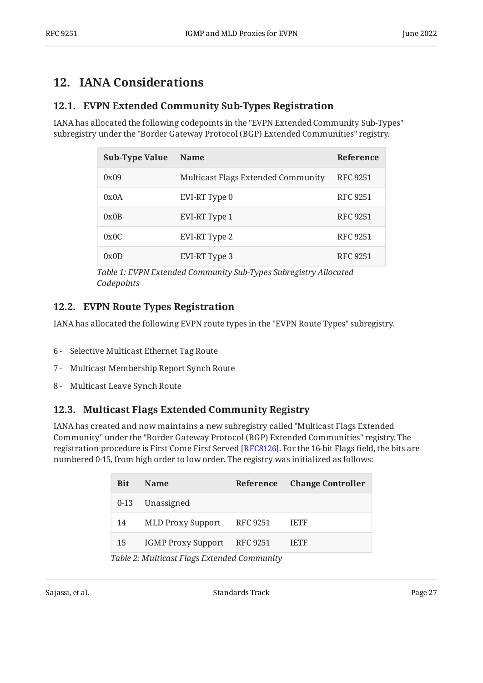# <span id="page-26-1"></span><span id="page-26-0"></span>**[12. IANA Considerations](#page-26-0)**

#### **[12.1. EVPN Extended Community Sub-Types Registration](#page-26-1)**

<span id="page-26-5"></span>IANA has allocated the following codepoints in the "EVPN Extended Community Sub-Types" subregistry under the "Border Gateway Protocol (BGP) Extended Communities" registry.

<span id="page-26-4"></span>

| <b>Sub-Type Value</b> | <b>Name</b>                        | Reference       |
|-----------------------|------------------------------------|-----------------|
| 0x09                  | Multicast Flags Extended Community | RFC 9251        |
| 0x0A                  | EVI-RT Type 0                      | RFC 9251        |
| 0x0B                  | EVI-RT Type 1                      | <b>RFC 9251</b> |
| 0x0C                  | EVI-RT Type 2                      | RFC 9251        |
| 0x0D                  | EVI-RT Type 3                      | RFC 9251        |

*[Table 1:](#page-26-4) [EVPN Extended Community Sub-Types Subregistry Allocated](#page-26-5) [Codepoints](#page-26-5)* 

#### <span id="page-26-2"></span>**[12.2. EVPN Route Types Registration](#page-26-2)**

IANA has allocated the following EVPN route types in the "EVPN Route Types" subregistry.

- 6 Selective Multicast Ethernet Tag Route
- 7 Multicast Membership Report Synch Route
- <span id="page-26-3"></span>8 - Multicast Leave Synch Route

#### **[12.3. Multicast Flags Extended Community Registry](#page-26-3)**

<span id="page-26-7"></span>IANA has created and now maintains a new subregistry called "Multicast Flags Extended Community" under the "Border Gateway Protocol (BGP) Extended Communities" registry. The registration procedure is First Come First Served [RFC8126]. For the 16-bit Flags field, the bits are numbered 0-15, from high order to low order. The registry was initialized as follows:

<span id="page-26-6"></span>

| <b>Name</b>     | Reference Change Controller                               |
|-----------------|-----------------------------------------------------------|
| 0-13 Unassigned |                                                           |
|                 | <b>IETF</b>                                               |
|                 | <b>IETF</b>                                               |
|                 | MLD Proxy Support RFC 9251<br>IGMP Proxy Support RFC 9251 |

*[Table 2](#page-26-6): [Multicast Flags Extended Community](#page-26-7)*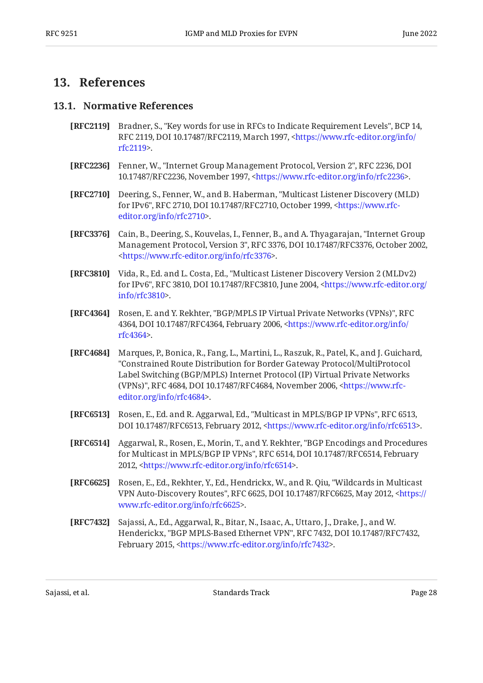## <span id="page-27-1"></span><span id="page-27-0"></span>**[13. References](#page-27-0)**

#### **[13.1. Normative References](#page-27-1)**

- <span id="page-27-2"></span>**[RFC2119]** Bradner, S., "Key words for use in RFCs to Indicate Requirement Levels", BCP 14, RFC 2119, DOI 10.17487/RFC2119, March 1997, [<https://www.rfc-editor.org/info/](https://www.rfc-editor.org/info/rfc2119) . [rfc2119](https://www.rfc-editor.org/info/rfc2119)>
- <span id="page-27-5"></span>**[RFC2236]** Fenner, W., "Internet Group Management Protocol, Version 2", RFC 2236, DOI 10.17487/RFC2236, November 1997, <https://www.rfc-editor.org/info/rfc2236>.
- <span id="page-27-11"></span>**[RFC2710]** Deering, S., Fenner, W., and B. Haberman, "Multicast Listener Discovery (MLD) for IPv6", RFC 2710, DOI 10.17487/RFC2710, October 1999, <[https://www.rfc-](https://www.rfc-editor.org/info/rfc2710). [editor.org/info/rfc2710](https://www.rfc-editor.org/info/rfc2710)>
- <span id="page-27-4"></span>**[RFC3376]** Cain, B., Deering, S., Kouvelas, I., Fenner, B., and A. Thyagarajan, "Internet Group Management Protocol, Version 3", RFC 3376, DOI 10.17487/RFC3376, October 2002, . [<https://www.rfc-editor.org/info/rfc3376](https://www.rfc-editor.org/info/rfc3376)>
- <span id="page-27-12"></span>**[RFC3810]** Vida, R., Ed. and L. Costa, Ed., "Multicast Listener Discovery Version 2 (MLDv2) for IPv6", RFC 3810, DOI 10.17487/RFC3810, June 2004, [<https://www.rfc-editor.org/](https://www.rfc-editor.org/info/rfc3810) . [info/rfc3810>](https://www.rfc-editor.org/info/rfc3810)
- <span id="page-27-6"></span>**[RFC4364]** Rosen, E. and Y. Rekhter, "BGP/MPLS IP Virtual Private Networks (VPNs)", RFC 4364, DOI 10.17487/RFC4364, February 2006, [<https://www.rfc-editor.org/info/](https://www.rfc-editor.org/info/rfc4364) . [rfc4364](https://www.rfc-editor.org/info/rfc4364)>
- <span id="page-27-8"></span>**[RFC4684]** Marques, P., Bonica, R., Fang, L., Martini, L., Raszuk, R., Patel, K., and J. Guichard, (VPNs)", RFC 4684, DOI 10.17487/RFC4684, November 2006, [<https://www.rfc-](https://www.rfc-editor.org/info/rfc4684). [editor.org/info/rfc4684](https://www.rfc-editor.org/info/rfc4684)> "Constrained Route Distribution for Border Gateway Protocol/MultiProtocol Label Switching (BGP/MPLS) Internet Protocol (IP) Virtual Private Networks
- <span id="page-27-9"></span>**[RFC6513]** Rosen, E., Ed. and R. Aggarwal, Ed., "Multicast in MPLS/BGP IP VPNs", RFC 6513, DOI 10.17487/RFC6513, February 2012, <https://www.rfc-editor.org/info/rfc6513>.
- <span id="page-27-10"></span>**[RFC6514]** Aggarwal, R., Rosen, E., Morin, T., and Y. Rekhter, "BGP Encodings and Procedures for Multicast in MPLS/BGP IP VPNs", RFC 6514, DOI 10.17487/RFC6514, February 2012, <https://www.rfc-editor.org/info/rfc6514>.
- <span id="page-27-7"></span>**[RFC6625]** Rosen, E., Ed., Rekhter, Y., Ed., Hendrickx, W., and R. Qiu, "Wildcards in Multicast VPN Auto-Discovery Routes", RFC 6625, DOI 10.17487/RFC6625, May 2012, [<https://](https://www.rfc-editor.org/info/rfc6625) . [www.rfc-editor.org/info/rfc6625>](https://www.rfc-editor.org/info/rfc6625)
- <span id="page-27-3"></span>**[RFC7432]** Sajassi, A., Ed., Aggarwal, R., Bitar, N., Isaac, A., Uttaro, J., Drake, J., and W. Henderickx, "BGP MPLS-Based Ethernet VPN", RFC 7432, DOI 10.17487/RFC7432, February 2015, <https://www.rfc-editor.org/info/rfc7432>.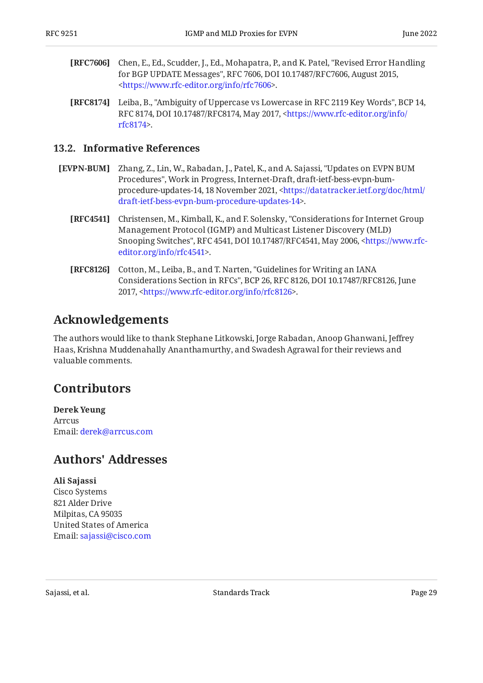- <span id="page-28-7"></span>**[RFC7606]** Chen, E., Ed., Scudder, J., Ed., Mohapatra, P., and K. Patel, "Revised Error Handling for BGP UPDATE Messages", RFC 7606, DOI 10.17487/RFC7606, August 2015, . [<https://www.rfc-editor.org/info/rfc7606](https://www.rfc-editor.org/info/rfc7606)>
- <span id="page-28-5"></span>**[RFC8174]** Leiba, B., "Ambiguity of Uppercase vs Lowercase in RFC 2119 Key Words", BCP 14, RFC 8174, DOI 10.17487/RFC8174, May 2017, <[https://www.rfc-editor.org/info/](https://www.rfc-editor.org/info/rfc8174) . [rfc8174](https://www.rfc-editor.org/info/rfc8174)>

#### <span id="page-28-0"></span>**[13.2. Informative References](#page-28-0)**

- <span id="page-28-6"></span><span id="page-28-4"></span>**[EVPN-BUM]** Zhang, Z., Lin, W., Rabadan, J., Patel, K., and A. Sajassi, "Updates on EVPN BUM Procedures", Work in Progress, Internet-Draft, draft-ietf-bess-evpn-bum-procedure-updates-14, 18 November 2021, [<https://datatracker.ietf.org/doc/html/](https://datatracker.ietf.org/doc/html/draft-ietf-bess-evpn-bum-procedure-updates-14) . [draft-ietf-bess-evpn-bum-procedure-updates-14>](https://datatracker.ietf.org/doc/html/draft-ietf-bess-evpn-bum-procedure-updates-14)
	- **[RFC4541]** Christensen, M., Kimball, K., and F. Solensky, "Considerations for Internet Group Snooping Switches", RFC 4541, DOI 10.17487/RFC4541, May 2006, [<https://www.rfc-](https://www.rfc-editor.org/info/rfc4541). [editor.org/info/rfc4541](https://www.rfc-editor.org/info/rfc4541)> Management Protocol (IGMP) and Multicast Listener Discovery (MLD)
	- **[RFC8126]** Cotton, M., Leiba, B., and T. Narten, "Guidelines for Writing an IANA Considerations Section in RFCs", BCP 26, RFC 8126, DOI 10.17487/RFC8126, June 2017, <https://www.rfc-editor.org/info/rfc8126>.

# <span id="page-28-8"></span><span id="page-28-1"></span>**[Acknowledgements](#page-28-1)**

The authors would like to thank Stephane Litkowski, Jorge Rabadan, Anoop Ghanwani, Jeffrey Haas, Krishna Muddenahally Ananthamurthy, and Swadesh Agrawal for their reviews and valuable comments.

# <span id="page-28-2"></span>**[Contributors](#page-28-2)**

**Derek Yeung** Arrcus Email: [derek@arrcus.com](mailto:derek@arrcus.com)

# <span id="page-28-3"></span>**[Authors' Addresses](#page-28-3)**

#### **Ali Sajassi**

Cisco Systems 821 Alder Drive Milpitas, CA 95035 United States of America Email: [sajassi@cisco.com](mailto:sajassi@cisco.com)